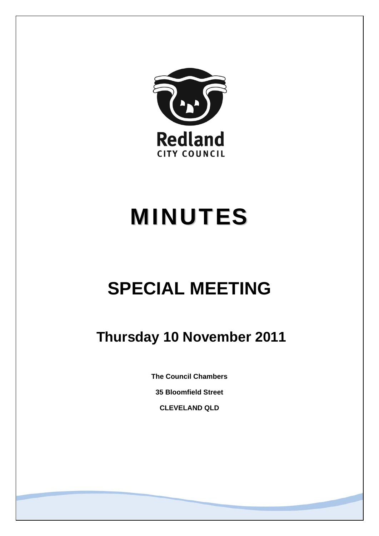

# MINUTES

## **SPECIAL MEETING**

### **Thursday 10 November 2011**

**The Council Chambers** 

**35 Bloomfield Street** 

**CLEVELAND QLD**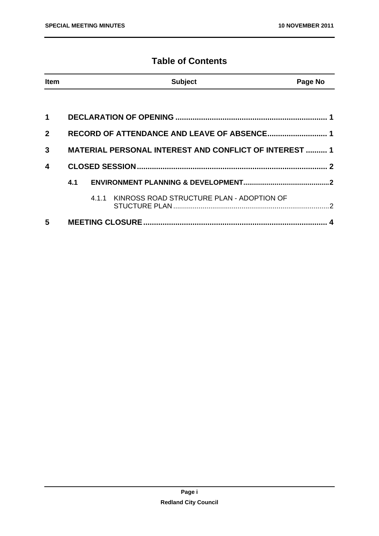#### **Table of Contents**

| <b>Item</b>  |                                                               |  | <b>Subject</b>                                  | Page No |
|--------------|---------------------------------------------------------------|--|-------------------------------------------------|---------|
|              |                                                               |  |                                                 |         |
| $\mathbf 1$  |                                                               |  |                                                 |         |
| $\mathbf{2}$ | RECORD OF ATTENDANCE AND LEAVE OF ABSENCE 1                   |  |                                                 |         |
| 3            | <b>MATERIAL PERSONAL INTEREST AND CONFLICT OF INTEREST  1</b> |  |                                                 |         |
| 4            |                                                               |  |                                                 |         |
|              | 4.1                                                           |  |                                                 |         |
|              |                                                               |  | 4.1.1 KINROSS ROAD STRUCTURE PLAN - ADOPTION OF |         |
| 5            |                                                               |  |                                                 |         |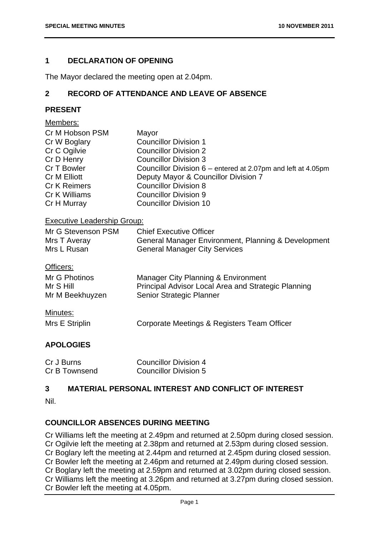#### **1 DECLARATION OF OPENING**

The Mayor declared the meeting open at 2.04pm.

#### **2 RECORD OF ATTENDANCE AND LEAVE OF ABSENCE**

#### **PRESENT**

| <u>Members:</u>                    |                                                              |
|------------------------------------|--------------------------------------------------------------|
| Cr M Hobson PSM                    | Mayor                                                        |
| Cr W Boglary                       | <b>Councillor Division 1</b>                                 |
| Cr C Ogilvie                       | <b>Councillor Division 2</b>                                 |
| Cr D Henry                         | <b>Councillor Division 3</b>                                 |
| Cr T Bowler                        | Councillor Division 6 – entered at 2.07pm and left at 4.05pm |
| Cr M Elliott                       | Deputy Mayor & Councillor Division 7                         |
| <b>Cr K Reimers</b>                | <b>Councillor Division 8</b>                                 |
| Cr K Williams                      | <b>Councillor Division 9</b>                                 |
| Cr H Murray                        | <b>Councillor Division 10</b>                                |
| <b>Executive Leadership Group:</b> |                                                              |
| Mr G Stevenson PSM                 | <b>Chief Executive Officer</b>                               |
| Mrs T Averay                       | General Manager Environment, Planning & Development          |
| Mrs L Rusan                        | <b>General Manager City Services</b>                         |
| Officers:                          |                                                              |
| Mr G Photinos                      | Manager City Planning & Environment                          |
| Mr S Hill                          | Principal Advisor Local Area and Strategic Planning          |
| Mr M Beekhuyzen                    | Senior Strategic Planner                                     |
|                                    |                                                              |
| <u>Minutes:</u>                    |                                                              |
| Mrs E Striplin                     | Corporate Meetings & Registers Team Officer                  |

#### **APOLOGIES**

| Cr J Burns    | Councillor Division 4        |
|---------------|------------------------------|
| Cr B Townsend | <b>Councillor Division 5</b> |

#### **3 MATERIAL PERSONAL INTEREST AND CONFLICT OF INTEREST**

Nil.

#### **COUNCILLOR ABSENCES DURING MEETING**

Cr Williams left the meeting at 2.49pm and returned at 2.50pm during closed session. Cr Ogilvie left the meeting at 2.38pm and returned at 2.53pm during closed session. Cr Boglary left the meeting at 2.44pm and returned at 2.45pm during closed session. Cr Bowler left the meeting at 2.46pm and returned at 2.49pm during closed session. Cr Boglary left the meeting at 2.59pm and returned at 3.02pm during closed session. Cr Williams left the meeting at 3.26pm and returned at 3.27pm during closed session. Cr Bowler left the meeting at 4.05pm.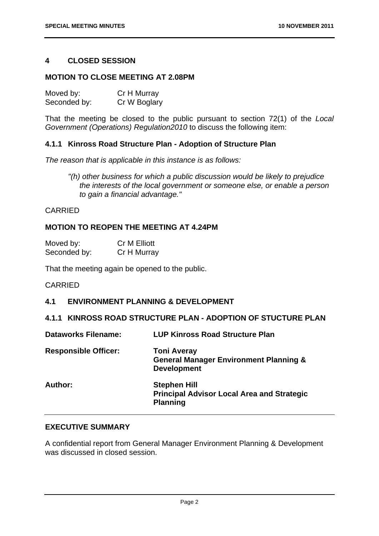#### **4 CLOSED SESSION**

#### **MOTION TO CLOSE MEETING AT 2.08PM**

| Moved by:    | Cr H Murray  |
|--------------|--------------|
| Seconded by: | Cr W Boglary |

That the meeting be closed to the public pursuant to section 72(1) of the *Local Government (Operations) Regulation2010* to discuss the following item:

#### **4.1.1 Kinross Road Structure Plan - Adoption of Structure Plan**

*The reason that is applicable in this instance is as follows:* 

*"(h) other business for which a public discussion would be likely to prejudice the interests of the local government or someone else, or enable a person to gain a financial advantage."* 

#### CARRIED

#### **MOTION TO REOPEN THE MEETING AT 4.24PM**

| Moved by:    | Cr M Elliott |
|--------------|--------------|
| Seconded by: | Cr H Murray  |

That the meeting again be opened to the public.

#### CARRIED

#### **4.1 ENVIRONMENT PLANNING & DEVELOPMENT**

**4.1.1 KINROSS ROAD STRUCTURE PLAN - ADOPTION OF STUCTURE PLAN** 

| <b>Dataworks Filename:</b>  | <b>LUP Kinross Road Structure Plan</b>                                                        |
|-----------------------------|-----------------------------------------------------------------------------------------------|
| <b>Responsible Officer:</b> | <b>Toni Averay</b><br><b>General Manager Environment Planning &amp;</b><br><b>Development</b> |
| Author:                     | <b>Stephen Hill</b><br><b>Principal Advisor Local Area and Strategic</b><br><b>Planning</b>   |

#### **EXECUTIVE SUMMARY**

A confidential report from General Manager Environment Planning & Development was discussed in closed session.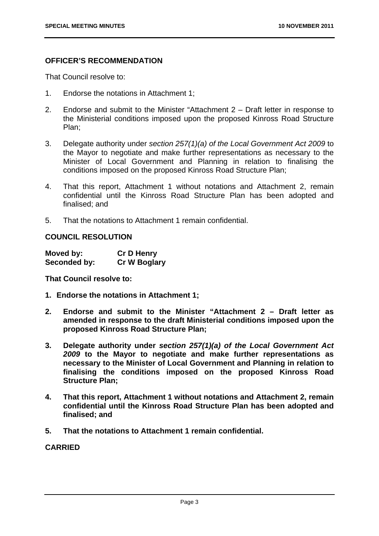#### **OFFICER'S RECOMMENDATION**

That Council resolve to:

- 1. Endorse the notations in Attachment 1;
- 2. Endorse and submit to the Minister "Attachment 2 Draft letter in response to the Ministerial conditions imposed upon the proposed Kinross Road Structure Plan;
- 3. Delegate authority under *section 257(1)(a) of the Local Government Act 2009* to the Mayor to negotiate and make further representations as necessary to the Minister of Local Government and Planning in relation to finalising the conditions imposed on the proposed Kinross Road Structure Plan;
- 4. That this report, Attachment 1 without notations and Attachment 2, remain confidential until the Kinross Road Structure Plan has been adopted and finalised; and
- 5. That the notations to Attachment 1 remain confidential.

#### **COUNCIL RESOLUTION**

| Moved by:    | <b>Cr D Henry</b>   |
|--------------|---------------------|
| Seconded by: | <b>Cr W Boglary</b> |

**That Council resolve to:** 

- **1. Endorse the notations in Attachment 1;**
- **2. Endorse and submit to the Minister "Attachment 2 Draft letter as amended in response to the draft Ministerial conditions imposed upon the proposed Kinross Road Structure Plan;**
- **3. Delegate authority under** *section 257(1)(a) of the Local Government Act 2009* **to the Mayor to negotiate and make further representations as necessary to the Minister of Local Government and Planning in relation to finalising the conditions imposed on the proposed Kinross Road Structure Plan;**
- **4. That this report, Attachment 1 without notations and Attachment 2, remain confidential until the Kinross Road Structure Plan has been adopted and finalised; and**
- **5. That the notations to Attachment 1 remain confidential.**

#### **CARRIED**